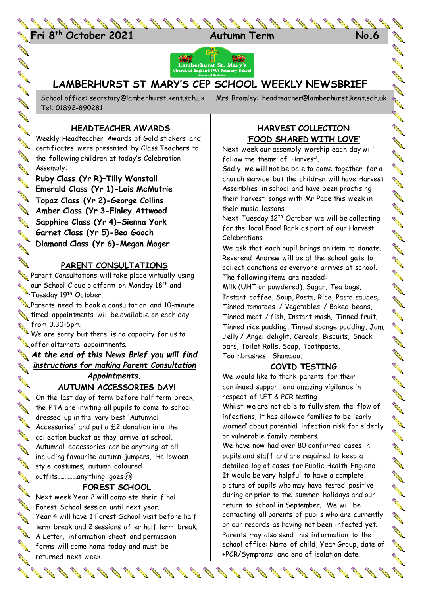24 **Fri 8 th October 2021 Autumn Term No.6**



# **LAMBERHURST ST MARY'S CEP SCHOOL WEEKLY NEWSBRIEF**

Tel: 01892-890281

School office: [secretary@lamberhurst.kent.sch.uk](mailto:secretary@lamberhurst.kent.sch.uk) Mrs Bromley: headteacher@lamberhurst.kent.sch.uk

**CONSTA** 

**AND** 

**AVE** 

**ANTI** 

**AVER AND** 

**Contract of the Contract of the Contract of the Contract of the Contract of the Contract of The Contract of The Contract of The Contract of The Contract of The Contract of The Contract of The Contract of The Contract of T** 

**AVE** 

# **HEADTEACHER AWARDS**

**ANTI AVERA** Weekly Headteacher Awards of Gold stickers and certificates were presented by Class Teachers to the following children at today's Celebration Assembly:

**Ruby Class (Yr R)–Tilly Wanstall Emerald Class (Yr 1)-Lois McMutrie** Erner and States (Yr 2)-George Collins **Amber Class (Yr 3-Finley Attwood Sapphire Class (Yr 4)-Sienna York Garnet Class (Yr 5)-Bea Gooch Diamond Class (Yr 6)-Megan Moger**

## **PARENT CONSULTATIONS**

**AND** Parent Consultations will take place virtually using our School Cives, our School Cloud platform on Monday 18<sup>th</sup> and

Parents need to book a consultation and 10-minute  $\blacklozenge$  timed appointments will be available on each day from 3.30-6pm.

We are sorry but there is no capacity for us to offer alternate appointments.

*At the end of this News Brief you will find*  **Contraction of the Contraction of the Contraction of the Contraction of the Contraction of the Contraction of the Contraction of the Contraction of the Contraction of the Contraction of the Contraction of the Contraction** *instructions for making Parent Consultation*  **AVE** 

#### *Appointments.* **AUTUMN ACCESSORIES DAY!**

On the last day of term before half term break, the PTA are inviting all pupils to come to school dressed up in the very best 'Autumnal Accessories' and put a £2 donation into the collection bucket as they arrive at school. Autumnal accessories can be anything at all including favourite autumn jumpers, Halloween style costumes, autumn coloured outfits………….anything goes

# **FOREST SCHOOL**

Next week Year 2 will complete their final Forest School session until next year. Year 4 will have 1 Forest School visit before half term break and 2 sessions after half term break. A Letter, information sheet and permission forms will come home today and must be returned next week.

## **HARVEST COLLECTION 'FOOD SHARED WITH LOVE'**

Next week our assembly worship each day will follow the theme of 'Harvest'.

Sadly, we will not be bale to come together for a church service but the children will have Harvest Assemblies in school and have been practising their harvest songs with Mr Pape this week in their music lessons.

Next Tuesday 12<sup>th</sup> October we will be collecting for the local Food Bank as part of our Harvest Celebrations.

We ask that each pupil brings an item to donate. Reverend Andrew will be at the school gate to collect donations as everyone arrives at school. The following items are needed:

Milk (UHT or powdered), Sugar, Tea bags, Instant coffee, Soup, Pasta, Rice, Pasta sauces, Tinned tomatoes / Vegetables / Baked beans, Tinned meat / fish, Instant mash, Tinned fruit, Tinned rice pudding, Tinned sponge pudding, Jam, Jelly / Angel delight, Cereals, Biscuits, Snack bars, Toilet Rolls, Soap, Toothpaste, Toothbrushes, Shampoo.

### **COVID TESTING**

We would like to thank parents for their continued support and amazing vigilance in respect of LFT & PCR testing. Whilst we are not able to fully stem the flow of

infections, it has allowed families to be 'early warned' about potential infection risk for elderly or vulnerable family members.

We have now had over 80 confirmed cases in pupils and staff and are required to keep a detailed log of cases for Public Health England. It would be very helpful to have a complete picture of pupils who may have tested positive during or prior to the summer holidays and our return to school in September. We will be contacting all parents of pupils who are currently on our records as having not been infected yet. Parents may also send this information to the school office: Name of child, Year Group, date of +PCR/Symptoms and end of isolation date.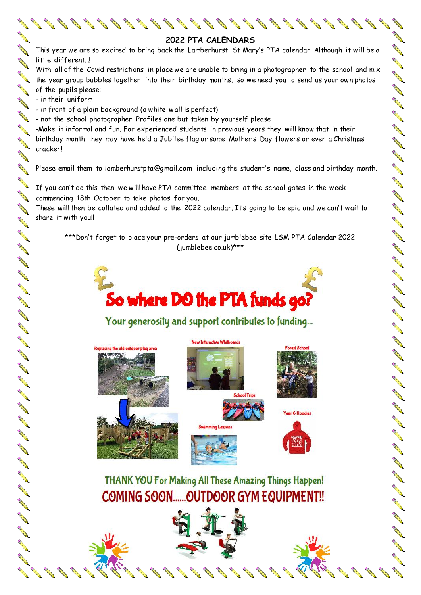

**ANTI ANTI** 

**ANTI** 

**ANTI** 

**ANTI ANTI** 

**AND** 

**AND** 

**ARK ARK** 

**ANTI** 

A REA

A RAY

A SA SA SA

**BRAN** 

**BABB** 

**AVE** 

**AND** 

AN A

**AVE RAY ALL RAY** 

**AND AND AND** 

**CONSTANT** 

**ANTI AVE AND** 

**RANCISCO** 

**COMPA** 

**ALL** No. of

**AND** 

**AND** 

**AA AND** 

**AND AA** 

**AND** 

**ANTI ALL AND** 

**ANTI** 

**AVER AND** 

A A **AVER** A A

**AND** 

**AND AND** 

**AVE** 

**AVE**